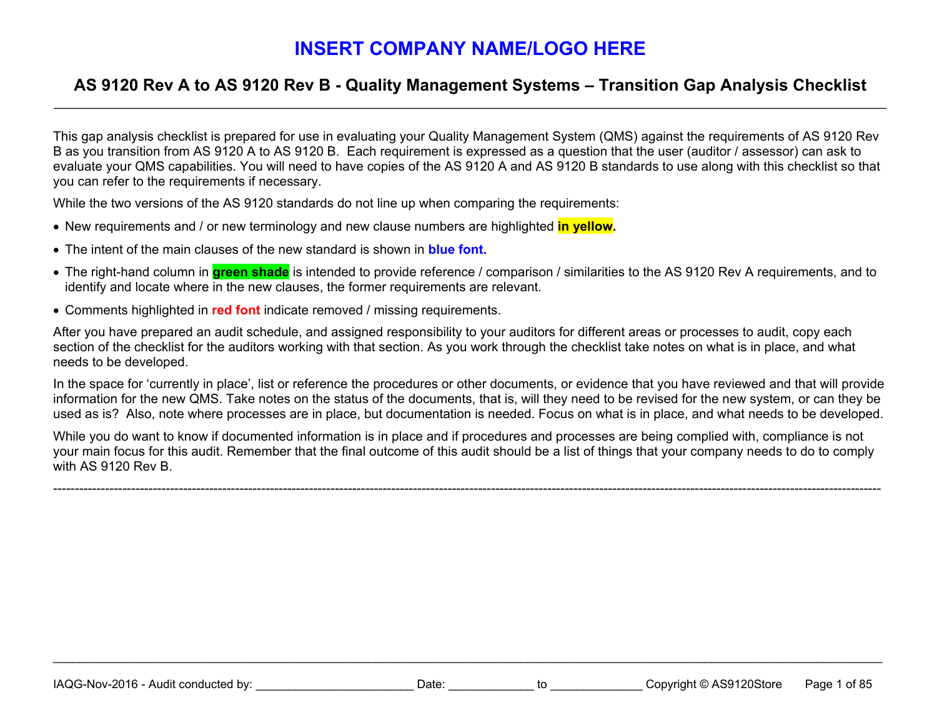# **INSERT COMPANY NAME/LOGO HERE**

#### **AS 9120 Rev A to AS 9120 Rev B - Quality Management Systems – Transition Gap Analysis Checklist**

This gap analysis checklist is prepared for use in evaluating your Quality Management System (QMS) against the requirements of AS 9120 Rev B as you transition from AS 9120 A to AS 9120 B. Each requirement is expressed as a question that the user (auditor / assessor) can ask to evaluate your QMS capabilities. You will need to have copies of the AS 9120 A and AS 9120 B standards to use along with this checklist so that you can refer to the requirements if necessary.

While the two versions of the AS 9120 standards do not line up when comparing the requirements:

- New requirements and / or new terminology and new clause numbers are highlighted **in yellow**.
- The intent of the main clauses of the new standard is shown in **blue font.**
- The right-hand column in **green shade** is intended to provide reference / comparison / similarities to the AS 9120 Rev A requirements, and to identify and locate where in the new clauses, the former requirements are relevant.
- Comments highlighted in **red font** indicate removed / missing requirements.

After you have prepared an audit schedule, and assigned responsibility to your auditors for different areas or processes to audit, copy each section of the checklist for the auditors working with that section. As you work through the checklist take notes on what is in place, and what needs to be developed.

In the space for 'currently in place', list or reference the procedures or other documents, or evidence that you have reviewed and that will provide information for the new QMS. Take notes on the status of the documents, that is, will they need to be revised for the new system, or can they be used as is? Also, note where processes are in place, but documentation is needed. Focus on what is in place, and what needs to be developed.

While you do want to know if documented information is in place and if procedures and processes are being complied with, compliance is not your main focus for this audit. Remember that the final outcome of this audit should be a list of things that your company needs to do to comply with AS 9120 Rev B.

-----------------------------------------------------------------------------------------------------------------------------------------------------------------------------------------------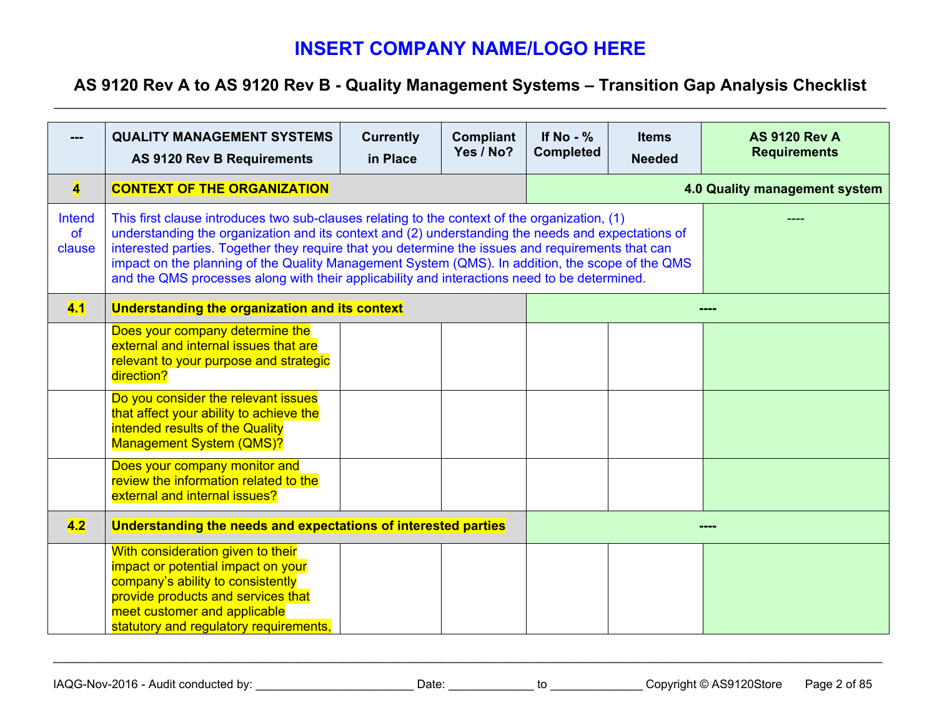# **INSERT COMPANY NAME/LOGO HERE**

# **AS 9120 Rev A to AS 9120 Rev B - Quality Management Systems – Transition Gap Analysis Checklist**

|                               | <b>QUALITY MANAGEMENT SYSTEMS</b><br>AS 9120 Rev B Requirements                                                                                                                                                                                                                                                                                                                                                                                                                                              | <b>Currently</b><br>in Place  | <b>Compliant</b><br>Yes / No? | If No - $%$<br><b>Completed</b> | <b>Items</b><br><b>Needed</b> | <b>AS 9120 Rev A</b><br><b>Requirements</b> |
|-------------------------------|--------------------------------------------------------------------------------------------------------------------------------------------------------------------------------------------------------------------------------------------------------------------------------------------------------------------------------------------------------------------------------------------------------------------------------------------------------------------------------------------------------------|-------------------------------|-------------------------------|---------------------------------|-------------------------------|---------------------------------------------|
| $\overline{\mathbf{4}}$       | <b>CONTEXT OF THE ORGANIZATION</b>                                                                                                                                                                                                                                                                                                                                                                                                                                                                           | 4.0 Quality management system |                               |                                 |                               |                                             |
| <b>Intend</b><br>of<br>clause | This first clause introduces two sub-clauses relating to the context of the organization, (1)<br>understanding the organization and its context and (2) understanding the needs and expectations of<br>interested parties. Together they require that you determine the issues and requirements that can<br>impact on the planning of the Quality Management System (QMS). In addition, the scope of the QMS<br>and the QMS processes along with their applicability and interactions need to be determined. |                               |                               |                                 |                               |                                             |
| 4.1                           | <b>Understanding the organization and its context</b>                                                                                                                                                                                                                                                                                                                                                                                                                                                        |                               |                               |                                 |                               |                                             |
|                               | Does your company determine the<br>external and internal issues that are<br>relevant to your purpose and strategic<br>direction?                                                                                                                                                                                                                                                                                                                                                                             |                               |                               |                                 |                               |                                             |
|                               | Do you consider the relevant issues<br>that affect your ability to achieve the<br>intended results of the Quality<br><b>Management System (QMS)?</b>                                                                                                                                                                                                                                                                                                                                                         |                               |                               |                                 |                               |                                             |
|                               | Does your company monitor and<br>review the information related to the<br>external and internal issues?                                                                                                                                                                                                                                                                                                                                                                                                      |                               |                               |                                 |                               |                                             |
| 4.2                           | Understanding the needs and expectations of interested parties                                                                                                                                                                                                                                                                                                                                                                                                                                               |                               |                               |                                 |                               |                                             |
|                               | With consideration given to their<br>impact or potential impact on your<br>company's ability to consistently<br>provide products and services that<br>meet customer and applicable<br>statutory and regulatory requirements,                                                                                                                                                                                                                                                                                 |                               |                               |                                 |                               |                                             |